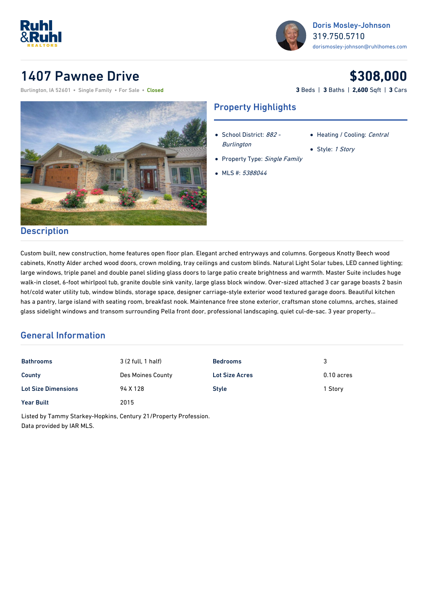



# 1407 Pawnee Drive

Burlington, IA 52601 • Single Family • For Sale • Closed



3 Beds | 3 Baths | 2,600 Sqft | 3 Cars



### Property Highlights

- School District: 882 -Burlington
- Heating / Cooling: Central
- Style: 1 Story
- Property Type: Single Family
- MLS #: 5388044
- 

Custom built, new construction, home features open floor plan. Elegant arched entryways and columns. Gorgeous Knotty Beech wood cabinets, Knotty Alder arched wood doors, crown molding, tray ceilings and custom blinds. Natural Light Solar tubes, LED canned lighting; large windows, triple panel and double panel sliding glass doors to large patio create brightness and warmth. Master Suite includes huge walk-in closet, 6-foot whirlpool tub, granite double sink vanity, large glass block window. Over-sized attached 3 car garage boasts 2 basin hot/cold water utility tub, window blinds, storage space, designer carriage-style exterior wood textured garage doors. Beautiful kitchen has a pantry, large island with seating room, breakfast nook. Maintenance free stone exterior, craftsman stone columns, arches, stained glass sidelight windows and transom surrounding Pella front door, professional landscaping, quiet cul-de-sac. 3 year property...

#### General Information

| <b>Bathrooms</b>           | 3 (2 full, 1 half) | <b>Bedrooms</b>       | 3            |
|----------------------------|--------------------|-----------------------|--------------|
| County                     | Des Moines County  | <b>Lot Size Acres</b> | $0.10$ acres |
| <b>Lot Size Dimensions</b> | 94 X 128           | <b>Style</b>          | 1 Story      |
| <b>Year Built</b>          | 2015               |                       |              |

Listed by Tammy Starkey-Hopkins, Century 21/Property Profession. Data provided by IAR MLS.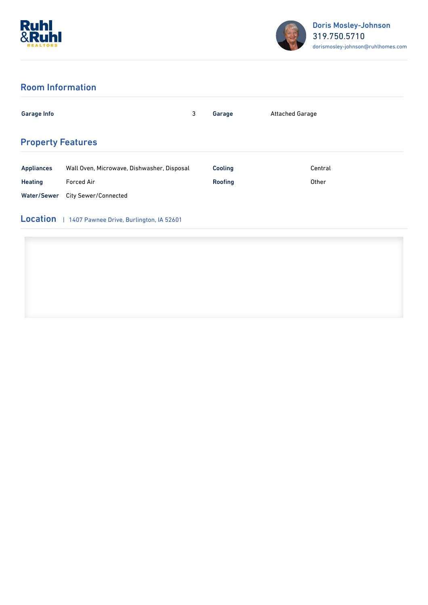



## Room Information

| Garage Info              |                                            | 3 | Garage         | <b>Attached Garage</b> |  |  |
|--------------------------|--------------------------------------------|---|----------------|------------------------|--|--|
| <b>Property Features</b> |                                            |   |                |                        |  |  |
| <b>Appliances</b>        | Wall Oven, Microwave, Dishwasher, Disposal |   | Cooling        | Central                |  |  |
| <b>Heating</b>           | <b>Forced Air</b>                          |   | <b>Roofing</b> | Other                  |  |  |
| Water/Sewer              | City Sewer/Connected                       |   |                |                        |  |  |
|                          |                                            |   |                |                        |  |  |

## Location | 1407 Pawnee Drive, Burlington, IA 52601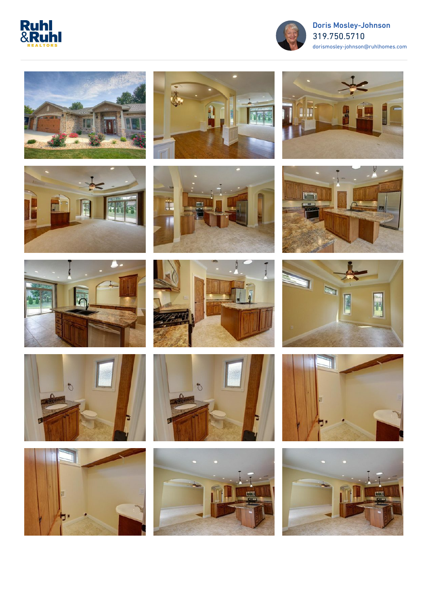































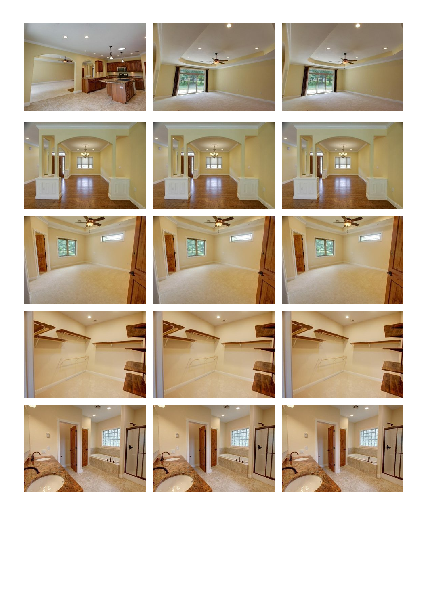



























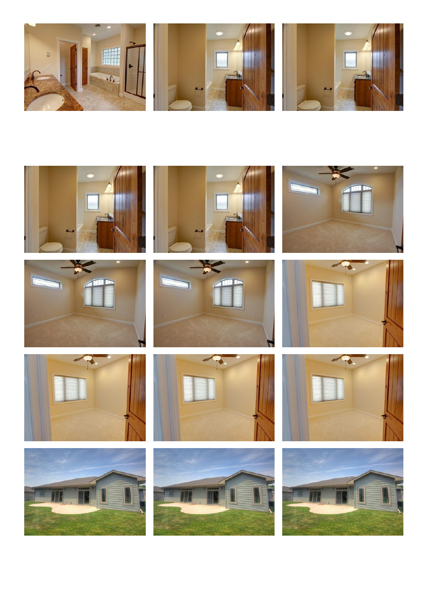